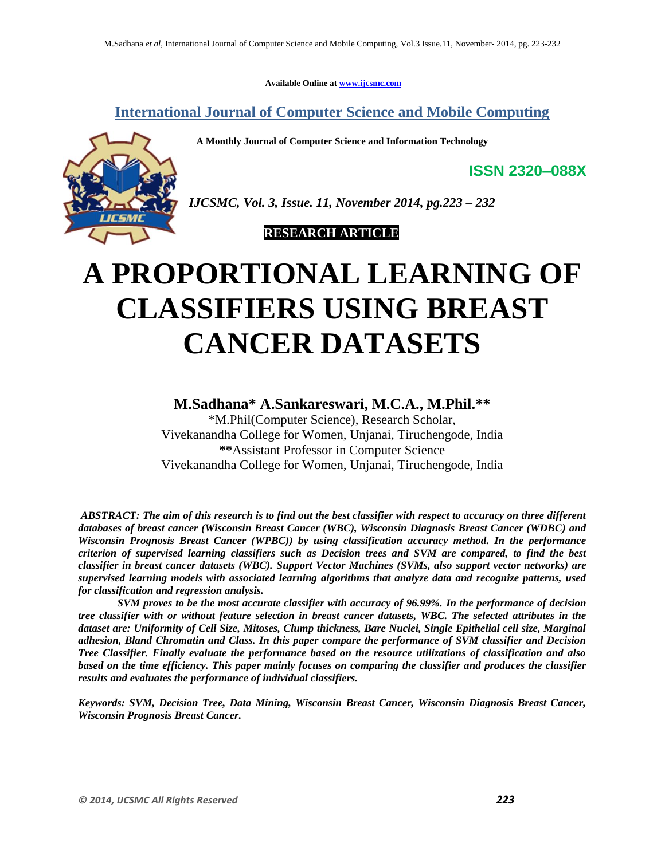**Available Online at [www.ijcsmc.com](http://www.ijcsmc.com/)**

**International Journal of Computer Science and Mobile Computing**

 **A Monthly Journal of Computer Science and Information Technology**



*IJCSMC, Vol. 3, Issue. 11, November 2014, pg.223 – 232*

 **RESEARCH ARTICLE**

# **A PROPORTIONAL LEARNING OF CLASSIFIERS USING BREAST CANCER DATASETS**

# **M.Sadhana\* A.Sankareswari, M.C.A., M.Phil.\*\***

\*M.Phil(Computer Science), Research Scholar, Vivekanandha College for Women, Unjanai, Tiruchengode, India **\*\***Assistant Professor in Computer Science Vivekanandha College for Women, Unjanai, Tiruchengode, India

*ABSTRACT: The aim of this research is to find out the best classifier with respect to accuracy on three different databases of breast cancer (Wisconsin Breast Cancer (WBC), Wisconsin Diagnosis Breast Cancer (WDBC) and Wisconsin Prognosis Breast Cancer (WPBC)) by using classification accuracy method. In the performance criterion of supervised learning classifiers such as Decision trees and SVM are compared, to find the best classifier in breast cancer datasets (WBC). Support Vector Machines (SVMs, also support vector networks) are [supervised learning](http://en.wikipedia.org/wiki/Supervised_learning) models with associated learning [algorithms](http://en.wikipedia.org/wiki/Algorithm) that analyze data and recognize patterns, used fo[r classification](http://en.wikipedia.org/wiki/Statistical_classification) an[d regression analysis.](http://en.wikipedia.org/wiki/Regression_analysis)*

*SVM proves to be the most accurate classifier with accuracy of 96.99%. In the performance of decision tree classifier with or without feature selection in breast cancer datasets, WBC. The selected attributes in the dataset are: Uniformity of Cell Size, Mitoses, Clump thickness, Bare Nuclei, Single Epithelial cell size, Marginal adhesion, Bland Chromatin and Class. In this paper compare the performance of SVM classifier and Decision Tree Classifier. Finally evaluate the performance based on the resource utilizations of classification and also*  based on the time efficiency. This paper mainly focuses on comparing the classifier and produces the classifier *results and evaluates the performance of individual classifiers.*

*Keywords: SVM, Decision Tree, Data Mining, Wisconsin Breast Cancer, Wisconsin Diagnosis Breast Cancer, Wisconsin Prognosis Breast Cancer.*

**ISSN 2320–088X**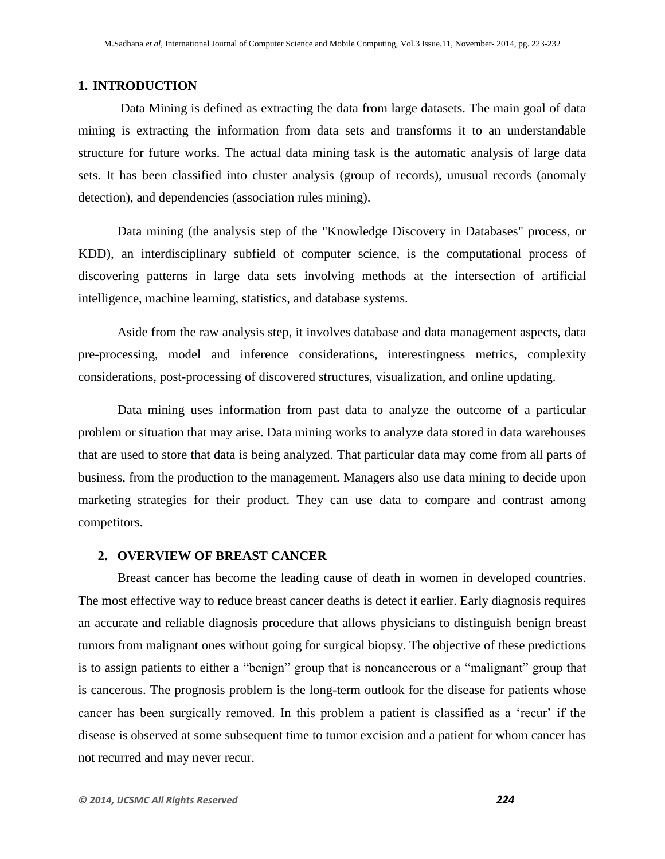#### **1. INTRODUCTION**

Data Mining is defined as extracting the data from large datasets. The main goal of data mining is extracting the information from data sets and transforms it to an understandable structure for future works. The actual data mining task is the automatic analysis of large data sets. It has been classified into cluster analysis (group of records), unusual records (anomaly detection), and dependencies (association rules mining).

Data mining (the analysis step of the "Knowledge Discovery in Databases" process, or KDD), an interdisciplinary subfield of computer science, is the computational process of discovering patterns in large data sets involving methods at the intersection of artificial intelligence, machine learning, statistics, and database systems.

Aside from the raw analysis step, it involves database and data management aspects, data pre-processing, model and inference considerations, interestingness metrics, complexity considerations, post-processing of discovered structures, visualization, and online updating.

Data mining uses information from past data to analyze the outcome of a particular problem or situation that may arise. Data mining works to analyze data stored in data warehouses that are used to store that data is being analyzed. That particular data may come from all parts of business, from the production to the management. Managers also use data mining to decide upon marketing strategies for their product. They can use data to compare and contrast among competitors.

#### **2. OVERVIEW OF BREAST CANCER**

Breast cancer has become the leading cause of death in women in developed countries. The most effective way to reduce breast cancer deaths is detect it earlier. Early diagnosis requires an accurate and reliable diagnosis procedure that allows physicians to distinguish benign breast tumors from malignant ones without going for surgical biopsy. The objective of these predictions is to assign patients to either a "benign" group that is noncancerous or a "malignant" group that is cancerous. The prognosis problem is the long-term outlook for the disease for patients whose cancer has been surgically removed. In this problem a patient is classified as a 'recur' if the disease is observed at some subsequent time to tumor excision and a patient for whom cancer has not recurred and may never recur.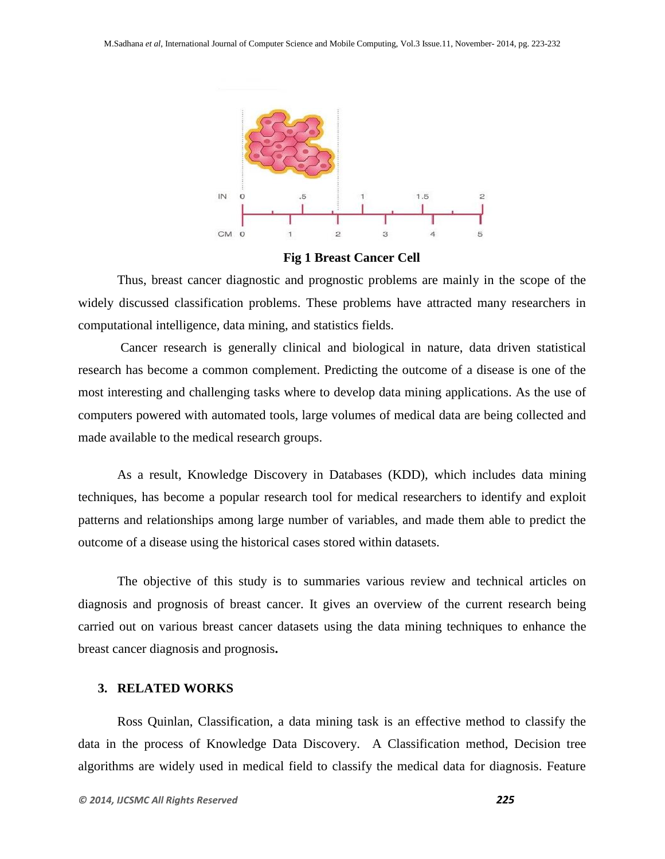

**Fig 1 Breast Cancer Cell**

Thus, breast cancer diagnostic and prognostic problems are mainly in the scope of the widely discussed classification problems. These problems have attracted many researchers in computational intelligence, data mining, and statistics fields.

Cancer research is generally clinical and biological in nature, data driven statistical research has become a common complement. Predicting the outcome of a disease is one of the most interesting and challenging tasks where to develop data mining applications. As the use of computers powered with automated tools, large volumes of medical data are being collected and made available to the medical research groups.

As a result, Knowledge Discovery in Databases (KDD), which includes data mining techniques, has become a popular research tool for medical researchers to identify and exploit patterns and relationships among large number of variables, and made them able to predict the outcome of a disease using the historical cases stored within datasets.

The objective of this study is to summaries various review and technical articles on diagnosis and prognosis of breast cancer. It gives an overview of the current research being carried out on various breast cancer datasets using the data mining techniques to enhance the breast cancer diagnosis and prognosis**.**

#### **3. RELATED WORKS**

Ross Quinlan, Classification, a data mining task is an effective method to classify the data in the process of Knowledge Data Discovery. A Classification method, Decision tree algorithms are widely used in medical field to classify the medical data for diagnosis. Feature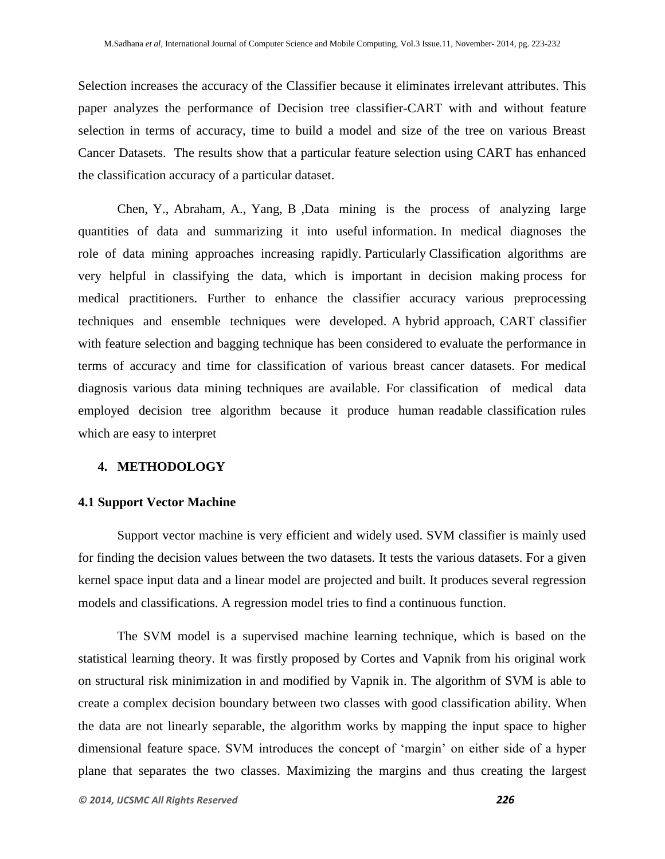Selection increases the accuracy of the Classifier because it eliminates irrelevant attributes. This paper analyzes the performance of Decision tree classifier-CART with and without feature selection in terms of accuracy, time to build a model and size of the tree on various Breast Cancer Datasets. The results show that a particular feature selection using CART has enhanced the classification accuracy of a particular dataset.

Chen, Y., Abraham, A., Yang, B ,Data mining is the process of analyzing large quantities of data and summarizing it into useful information. In medical diagnoses the role of data mining approaches increasing rapidly. Particularly Classification algorithms are very helpful in classifying the data, which is important in decision making process for medical practitioners. Further to enhance the classifier accuracy various preprocessing techniques and ensemble techniques were developed. A hybrid approach, CART classifier with feature selection and bagging technique has been considered to evaluate the performance in terms of accuracy and time for classification of various breast cancer datasets. For medical diagnosis various data mining techniques are available. For classification of medical data employed decision tree algorithm because it produce human readable classification rules which are easy to interpret

#### **4. METHODOLOGY**

#### **4.1 Support Vector Machine**

Support vector machine is very efficient and widely used. SVM classifier is mainly used for finding the decision values between the two datasets. It tests the various datasets. For a given kernel space input data and a linear model are projected and built. It produces several regression models and classifications. A regression model tries to find a continuous function.

The SVM model is a supervised machine learning technique, which is based on the statistical learning theory. It was firstly proposed by Cortes and Vapnik from his original work on structural risk minimization in and modified by Vapnik in. The algorithm of SVM is able to create a complex decision boundary between two classes with good classification ability. When the data are not linearly separable, the algorithm works by mapping the input space to higher dimensional feature space. SVM introduces the concept of "margin" on either side of a hyper plane that separates the two classes. Maximizing the margins and thus creating the largest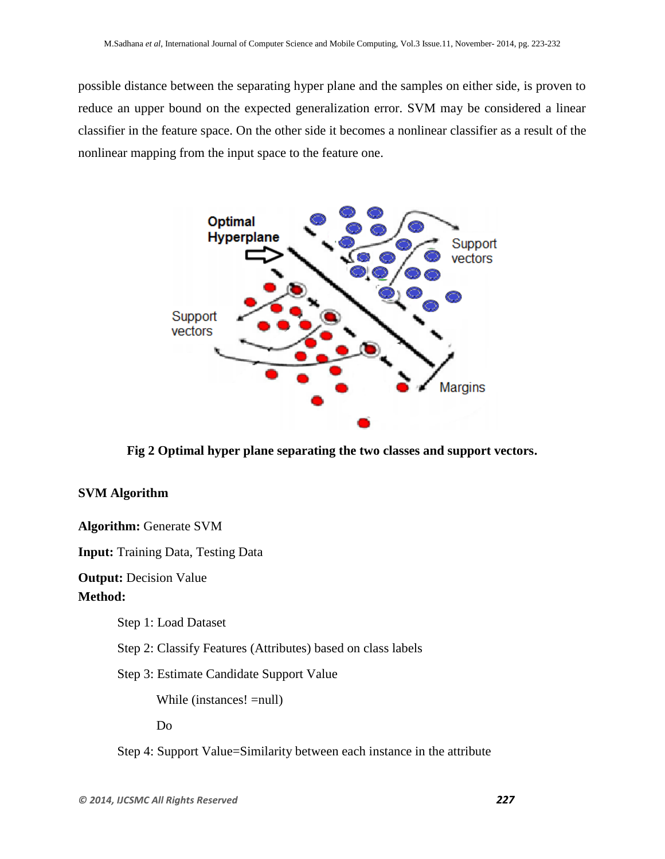possible distance between the separating hyper plane and the samples on either side, is proven to reduce an upper bound on the expected generalization error. SVM may be considered a linear classifier in the feature space. On the other side it becomes a nonlinear classifier as a result of the nonlinear mapping from the input space to the feature one.



**Fig 2 Optimal hyper plane separating the two classes and support vectors.**

## **SVM Algorithm**

**Algorithm:** Generate SVM

**Input:** Training Data, Testing Data

**Output: Decision Value** 

## **Method:**

Step 1: Load Dataset

Step 2: Classify Features (Attributes) based on class labels

Step 3: Estimate Candidate Support Value

While (instances! =null)

Do

Step 4: Support Value=Similarity between each instance in the attribute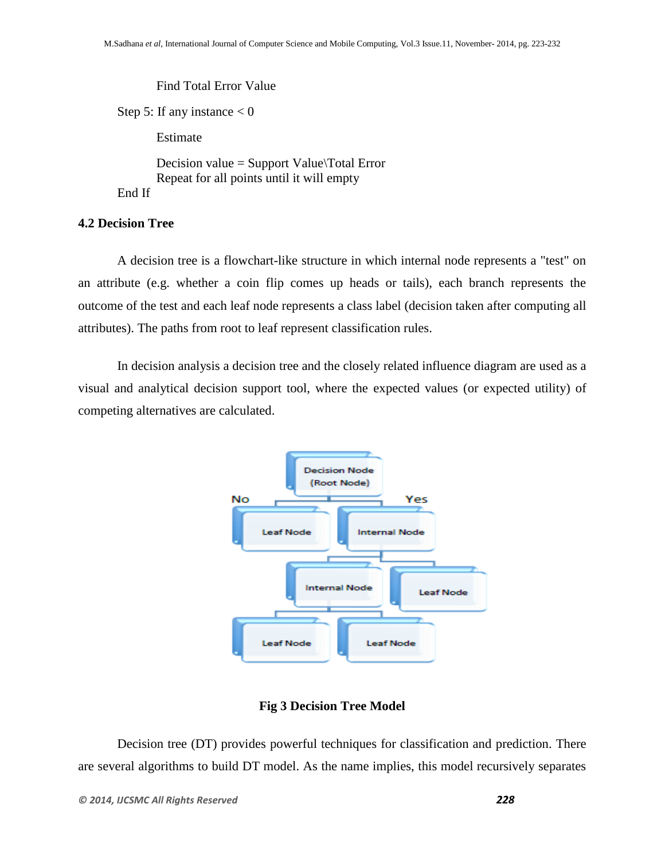Find Total Error Value Step 5: If any instance  $< 0$ Estimate Decision value = Support Value\Total Error Repeat for all points until it will empty End If

#### **4.2 Decision Tree**

A decision tree is a [flowchart-](http://en.wikipedia.org/wiki/Flowchart)like structure in which internal node represents a "test" on an attribute (e.g. whether a coin flip comes up heads or tails), each branch represents the outcome of the test and each leaf node represents a class label (decision taken after computing all attributes). The paths from root to leaf represent classification rules.

In [decision analysis](http://en.wikipedia.org/wiki/Decision_analysis) a decision tree and the closely related [influence diagram](http://en.wikipedia.org/wiki/Influence_diagram) are used as a visual and analytical decision support tool, where the [expected values](http://en.wikipedia.org/wiki/Expected_value) (or [expected utility\)](http://en.wikipedia.org/wiki/Expected_utility) of competing alternatives are calculated.



#### **Fig 3 Decision Tree Model**

Decision tree (DT) provides powerful techniques for classification and prediction. There are several algorithms to build DT model. As the name implies, this model recursively separates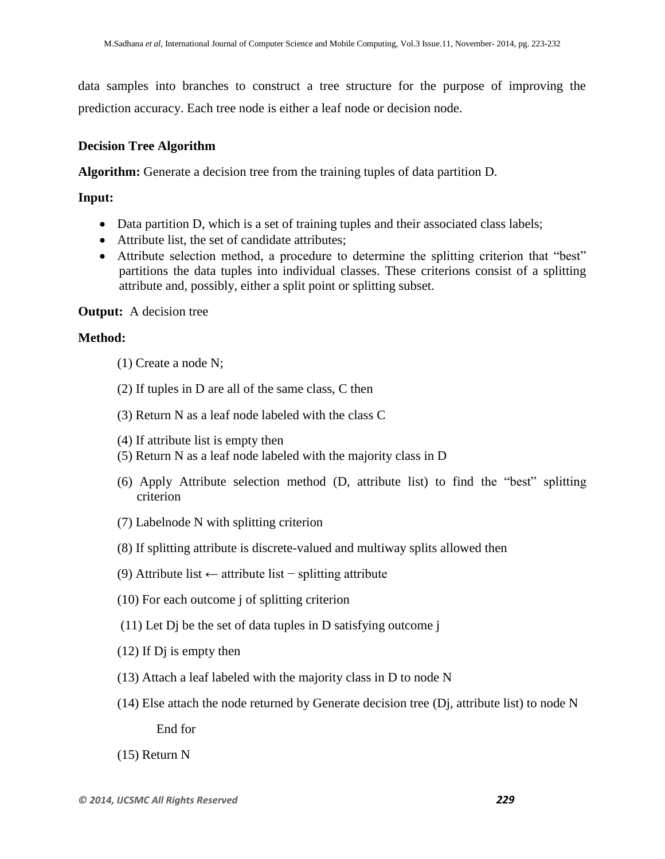data samples into branches to construct a tree structure for the purpose of improving the prediction accuracy. Each tree node is either a leaf node or decision node.

## **Decision Tree Algorithm**

**Algorithm:** Generate a decision tree from the training tuples of data partition D.

## **Input:**

- Data partition D, which is a set of training tuples and their associated class labels;
- Attribute list, the set of candidate attributes;
- Attribute selection method, a procedure to determine the splitting criterion that "best" partitions the data tuples into individual classes. These criterions consist of a splitting attribute and, possibly, either a split point or splitting subset.

## **Output:** A decision tree

## **Method:**

- (1) Create a node N;
- (2) If tuples in D are all of the same class, C then
- (3) Return N as a leaf node labeled with the class C
- (4) If attribute list is empty then
- (5) Return N as a leaf node labeled with the majority class in D
- (6) Apply Attribute selection method (D, attribute list) to find the "best" splitting criterion
- (7) Labelnode N with splitting criterion
- (8) If splitting attribute is discrete-valued and multiway splits allowed then
- (9) Attribute list ← attribute list − splitting attribute
- (10) For each outcome j of splitting criterion
- (11) Let Dj be the set of data tuples in D satisfying outcome j
- (12) If Dj is empty then
- (13) Attach a leaf labeled with the majority class in D to node N
- (14) Else attach the node returned by Generate decision tree (Dj, attribute list) to node N End for
- (15) Return N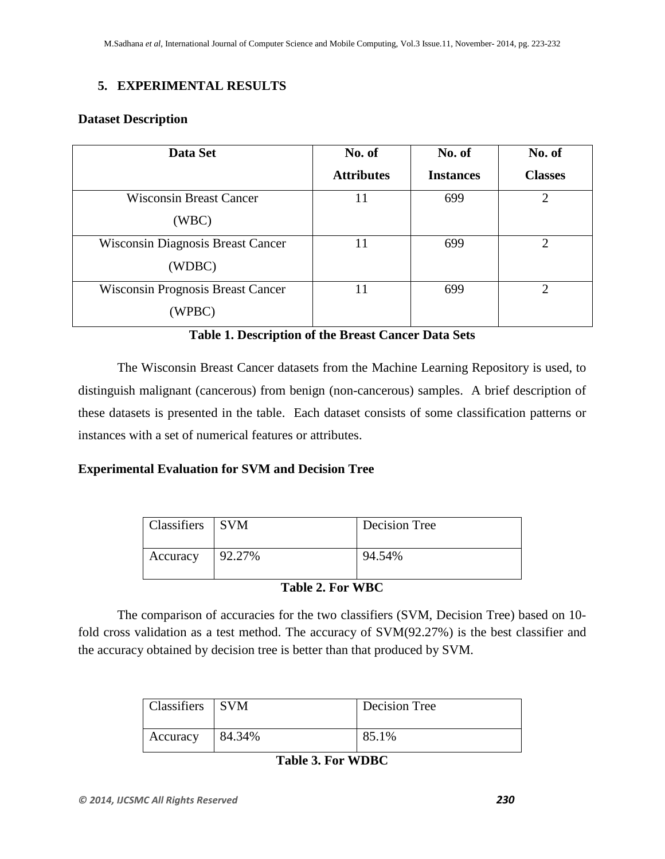## **5. EXPERIMENTAL RESULTS**

## **Dataset Description**

| Data Set                                 | No. of            | No. of           | No. of                      |
|------------------------------------------|-------------------|------------------|-----------------------------|
|                                          | <b>Attributes</b> | <b>Instances</b> | <b>Classes</b>              |
| <b>Wisconsin Breast Cancer</b>           | 11                | 699              | $\overline{2}$              |
| (WBC)                                    |                   |                  |                             |
| <b>Wisconsin Diagnosis Breast Cancer</b> | 11                | 699              | $\mathcal{D}_{\mathcal{A}}$ |
| (WDBC)                                   |                   |                  |                             |
| <b>Wisconsin Prognosis Breast Cancer</b> | 11                | 699              |                             |
| WPBC)                                    |                   |                  |                             |

## **Table 1. Description of the Breast Cancer Data Sets**

The Wisconsin Breast Cancer datasets from the Machine Learning Repository is used, to distinguish malignant (cancerous) from benign (non-cancerous) samples. A brief description of these datasets is presented in the table. Each dataset consists of some classification patterns or instances with a set of numerical features or attributes.

## **Experimental Evaluation for SVM and Decision Tree**

| Classifiers SVM |        | Decision Tree |
|-----------------|--------|---------------|
| Accuracy        | 92.27% | 94.54%        |

## **Table 2. For WBC**

The comparison of accuracies for the two classifiers (SVM, Decision Tree) based on 10 fold cross validation as a test method. The accuracy of SVM(92.27%) is the best classifier and the accuracy obtained by decision tree is better than that produced by SVM.

| Classifiers SVM |        | Decision Tree |
|-----------------|--------|---------------|
| Accuracy        | 84.34% | 85.1%         |

## **Table 3. For WDBC**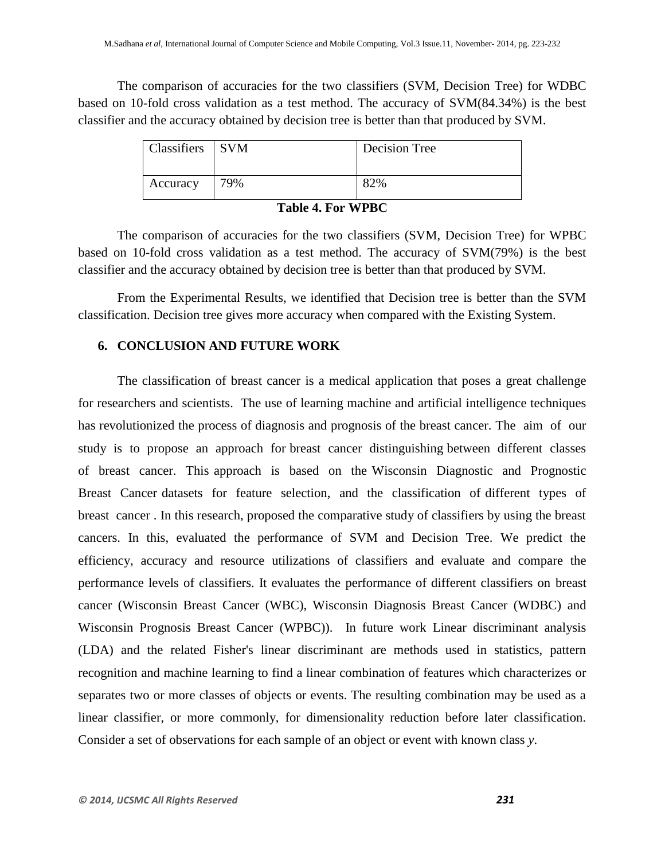The comparison of accuracies for the two classifiers (SVM, Decision Tree) for WDBC based on 10-fold cross validation as a test method. The accuracy of SVM(84.34%) is the best classifier and the accuracy obtained by decision tree is better than that produced by SVM.

| Classifiers SVM |     | Decision Tree |
|-----------------|-----|---------------|
| Accuracy        | 79% | 82%           |

#### **Table 4. For WPBC**

The comparison of accuracies for the two classifiers (SVM, Decision Tree) for WPBC based on 10-fold cross validation as a test method. The accuracy of SVM(79%) is the best classifier and the accuracy obtained by decision tree is better than that produced by SVM.

From the Experimental Results, we identified that Decision tree is better than the SVM classification. Decision tree gives more accuracy when compared with the Existing System.

#### **6. CONCLUSION AND FUTURE WORK**

The classification of breast cancer is a medical application that poses a great challenge for researchers and scientists. The use of learning machine and artificial intelligence techniques has revolutionized the process of diagnosis and prognosis of the breast cancer. The aim of our study is to propose an approach for breast cancer distinguishing between different classes of breast cancer. This approach is based on the Wisconsin Diagnostic and Prognostic Breast Cancer datasets for feature selection, and the classification of different types of breast cancer . In this research, proposed the comparative study of classifiers by using the breast cancers. In this, evaluated the performance of SVM and Decision Tree. We predict the efficiency, accuracy and resource utilizations of classifiers and evaluate and compare the performance levels of classifiers. It evaluates the performance of different classifiers on breast cancer (Wisconsin Breast Cancer (WBC), Wisconsin Diagnosis Breast Cancer (WDBC) and Wisconsin Prognosis Breast Cancer (WPBC)). In future work Linear discriminant analysis (LDA) and the related Fisher's linear discriminant are methods used in statistics, pattern recognition and machine learning to find a linear combination of features which characterizes or separates two or more classes of objects or events. The resulting combination may be used as a linear classifier, or more commonly, for dimensionality reduction before later classification. Consider a set of observations for each sample of an object or event with known class *y*.